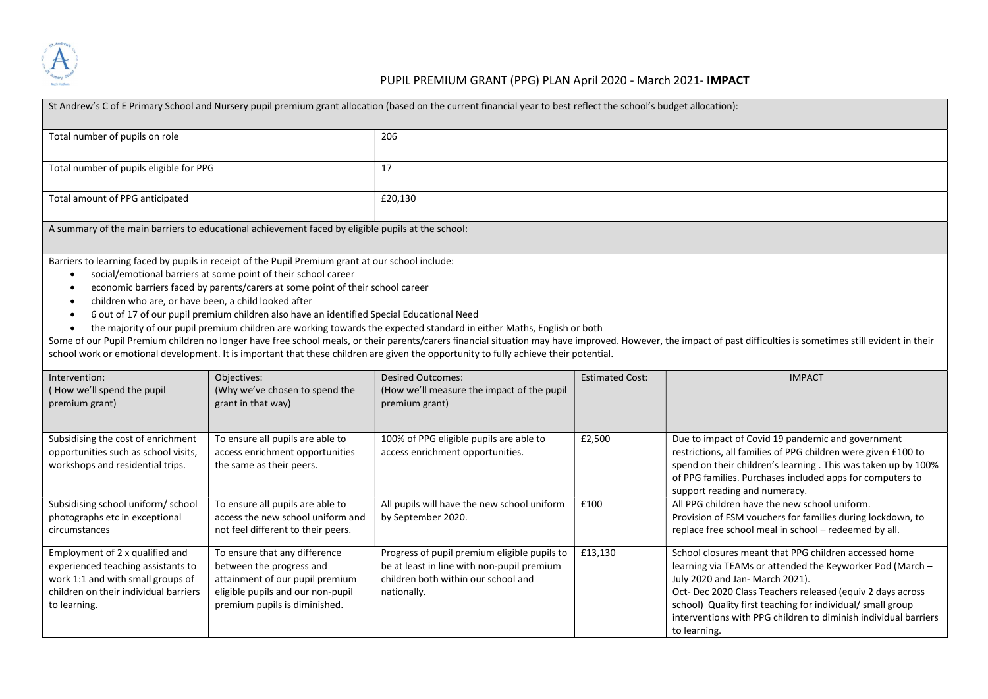

## PUPIL PREMIUM GRANT (PPG) PLAN April 2020 - March 2021- IMPACT

| St Andrew's C of E Primary School and Nursery pupil premium grant allocation (based on the current financial year to best reflect the school's budget allocation):                                                                                                                                                                                                                                                                                                                                                                                                                                                                                                                                                                                                                                                                                                                                                                                                 |                                                                                                                                                                    |                                                                                                                                                  |                        |                                                                                                                                                                                                                                                                                                                                                                     |  |  |  |
|--------------------------------------------------------------------------------------------------------------------------------------------------------------------------------------------------------------------------------------------------------------------------------------------------------------------------------------------------------------------------------------------------------------------------------------------------------------------------------------------------------------------------------------------------------------------------------------------------------------------------------------------------------------------------------------------------------------------------------------------------------------------------------------------------------------------------------------------------------------------------------------------------------------------------------------------------------------------|--------------------------------------------------------------------------------------------------------------------------------------------------------------------|--------------------------------------------------------------------------------------------------------------------------------------------------|------------------------|---------------------------------------------------------------------------------------------------------------------------------------------------------------------------------------------------------------------------------------------------------------------------------------------------------------------------------------------------------------------|--|--|--|
| Total number of pupils on role                                                                                                                                                                                                                                                                                                                                                                                                                                                                                                                                                                                                                                                                                                                                                                                                                                                                                                                                     |                                                                                                                                                                    | 206                                                                                                                                              |                        |                                                                                                                                                                                                                                                                                                                                                                     |  |  |  |
| Total number of pupils eligible for PPG                                                                                                                                                                                                                                                                                                                                                                                                                                                                                                                                                                                                                                                                                                                                                                                                                                                                                                                            |                                                                                                                                                                    | 17                                                                                                                                               |                        |                                                                                                                                                                                                                                                                                                                                                                     |  |  |  |
| Total amount of PPG anticipated                                                                                                                                                                                                                                                                                                                                                                                                                                                                                                                                                                                                                                                                                                                                                                                                                                                                                                                                    |                                                                                                                                                                    | £20,130                                                                                                                                          |                        |                                                                                                                                                                                                                                                                                                                                                                     |  |  |  |
| A summary of the main barriers to educational achievement faced by eligible pupils at the school:                                                                                                                                                                                                                                                                                                                                                                                                                                                                                                                                                                                                                                                                                                                                                                                                                                                                  |                                                                                                                                                                    |                                                                                                                                                  |                        |                                                                                                                                                                                                                                                                                                                                                                     |  |  |  |
| Barriers to learning faced by pupils in receipt of the Pupil Premium grant at our school include:<br>social/emotional barriers at some point of their school career<br>$\bullet$<br>economic barriers faced by parents/carers at some point of their school career<br>$\bullet$<br>children who are, or have been, a child looked after<br>$\bullet$<br>6 out of 17 of our pupil premium children also have an identified Special Educational Need<br>$\bullet$<br>the majority of our pupil premium children are working towards the expected standard in either Maths, English or both<br>$\bullet$<br>Some of our Pupil Premium children no longer have free school meals, or their parents/carers financial situation may have improved. However, the impact of past difficulties is sometimes still evident in their<br>school work or emotional development. It is important that these children are given the opportunity to fully achieve their potential. |                                                                                                                                                                    |                                                                                                                                                  |                        |                                                                                                                                                                                                                                                                                                                                                                     |  |  |  |
| Intervention:<br>(How we'll spend the pupil<br>premium grant)                                                                                                                                                                                                                                                                                                                                                                                                                                                                                                                                                                                                                                                                                                                                                                                                                                                                                                      | Objectives:<br>(Why we've chosen to spend the<br>grant in that way)                                                                                                | <b>Desired Outcomes:</b><br>(How we'll measure the impact of the pupil<br>premium grant)                                                         | <b>Estimated Cost:</b> | <b>IMPACT</b>                                                                                                                                                                                                                                                                                                                                                       |  |  |  |
| Subsidising the cost of enrichment<br>opportunities such as school visits,<br>workshops and residential trips.                                                                                                                                                                                                                                                                                                                                                                                                                                                                                                                                                                                                                                                                                                                                                                                                                                                     | To ensure all pupils are able to<br>access enrichment opportunities<br>the same as their peers.                                                                    | 100% of PPG eligible pupils are able to<br>access enrichment opportunities.                                                                      | £2,500                 | Due to impact of Covid 19 pandemic and government<br>restrictions, all families of PPG children were given £100 to<br>spend on their children's learning. This was taken up by 100%<br>of PPG families. Purchases included apps for computers to<br>support reading and numeracy.                                                                                   |  |  |  |
| Subsidising school uniform/ school<br>photographs etc in exceptional<br>circumstances                                                                                                                                                                                                                                                                                                                                                                                                                                                                                                                                                                                                                                                                                                                                                                                                                                                                              | To ensure all pupils are able to<br>access the new school uniform and<br>not feel different to their peers.                                                        | All pupils will have the new school uniform<br>by September 2020.                                                                                | £100                   | All PPG children have the new school uniform.<br>Provision of FSM vouchers for families during lockdown, to<br>replace free school meal in school - redeemed by all.                                                                                                                                                                                                |  |  |  |
| Employment of 2 x qualified and<br>experienced teaching assistants to<br>work 1:1 and with small groups of<br>children on their individual barriers<br>to learning.                                                                                                                                                                                                                                                                                                                                                                                                                                                                                                                                                                                                                                                                                                                                                                                                | To ensure that any difference<br>between the progress and<br>attainment of our pupil premium<br>eligible pupils and our non-pupil<br>premium pupils is diminished. | Progress of pupil premium eligible pupils to<br>be at least in line with non-pupil premium<br>children both within our school and<br>nationally. | £13,130                | School closures meant that PPG children accessed home<br>learning via TEAMs or attended the Keyworker Pod (March -<br>July 2020 and Jan- March 2021).<br>Oct-Dec 2020 Class Teachers released (equiv 2 days across<br>school) Quality first teaching for individual/ small group<br>interventions with PPG children to diminish individual barriers<br>to learning. |  |  |  |